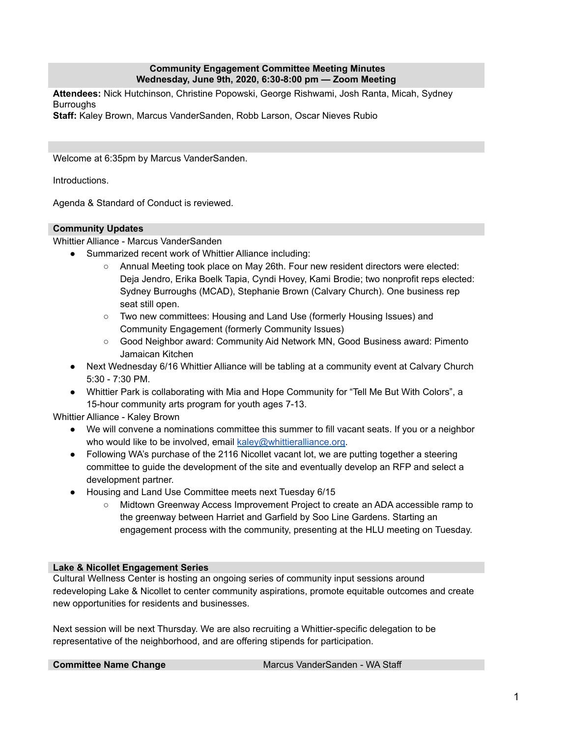## **Community Engagement Committee Meeting Minutes Wednesday, June 9th, 2020, 6:30-8:00 pm — Zoom Meeting**

**Attendees:** Nick Hutchinson, Christine Popowski, George Rishwami, Josh Ranta, Micah, Sydney **Burroughs** 

**Staff:** Kaley Brown, Marcus VanderSanden, Robb Larson, Oscar Nieves Rubio

Welcome at 6:35pm by Marcus VanderSanden.

Introductions.

Agenda & Standard of Conduct is reviewed.

## **Community Updates**

Whittier Alliance - Marcus VanderSanden

- Summarized recent work of Whittier Alliance including:
	- Annual Meeting took place on May 26th. Four new resident directors were elected: Deja Jendro, Erika Boelk Tapia, Cyndi Hovey, Kami Brodie; two nonprofit reps elected: Sydney Burroughs (MCAD), Stephanie Brown (Calvary Church). One business rep seat still open.
	- Two new committees: Housing and Land Use (formerly Housing Issues) and Community Engagement (formerly Community Issues)
	- Good Neighbor award: Community Aid Network MN, Good Business award: Pimento Jamaican Kitchen
- Next Wednesday 6/16 Whittier Alliance will be tabling at a community event at Calvary Church 5:30 - 7:30 PM.
- Whittier Park is collaborating with Mia and Hope Community for "Tell Me But With Colors", a 15-hour community arts program for youth ages 7-13.

Whittier Alliance - Kaley Brown

- We will convene a nominations committee this summer to fill vacant seats. If you or a neighbor who would like to be involved, email [kaley@whittieralliance.org.](mailto:kaley@whittieralliance.org)
- Following WA's purchase of the 2116 Nicollet vacant lot, we are putting together a steering committee to guide the development of the site and eventually develop an RFP and select a development partner.
- Housing and Land Use Committee meets next Tuesday 6/15
	- Midtown Greenway Access Improvement Project to create an ADA accessible ramp to the greenway between Harriet and Garfield by Soo Line Gardens. Starting an engagement process with the community, presenting at the HLU meeting on Tuesday.

### **Lake & Nicollet Engagement Series**

Cultural Wellness Center is hosting an ongoing series of community input sessions around redeveloping Lake & Nicollet to center community aspirations, promote equitable outcomes and create new opportunities for residents and businesses.

Next session will be next Thursday. We are also recruiting a Whittier-specific delegation to be representative of the neighborhood, and are offering stipends for participation.

**Committee Name Change** Marcus VanderSanden - WA Staff